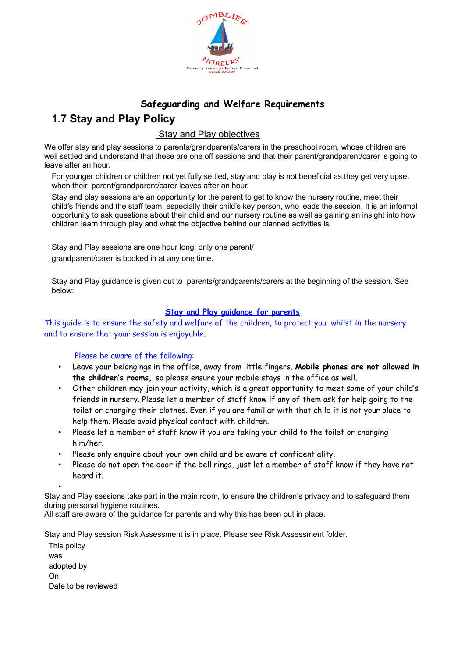

## **Safeguarding and Welfare Requirements 1.7 Stay and Play Policy**

## Stay and Play objectives

We offer stay and play sessions to parents/grandparents/carers in the preschool room, whose children are well settled and understand that these are one off sessions and that their parent/grandparent/carer is going to leave after an hour.

For younger children or children not yet fully settled, stay and play is not beneficial as they get very upset when their parent/grandparent/carer leaves after an hour.

Stay and play sessions are an opportunity for the parent to get to know the nursery routine, meet their child's friends and the staff team, especially their child's key person, who leads the session. It is an informal opportunity to ask questions about their child and our nursery routine as well as gaining an insight into how children learn through play and what the objective behind our planned activities is.

Stay and Play sessions are one hour long, only one parent/ grandparent/carer is booked in at any one time.

Stay and Play guidance is given out to parents/grandparents/carers at the beginning of the session. See below:

## **Stay and Play guidance for parents**

This guide is to ensure the safety and welfare of the children, to protect you whilst in the nursery and to ensure that your session is enjoyable.

## Please be aware of the following:

- Leave your belongings in the office, away from little fingers. **Mobile phones are not allowed in the children's rooms,** so please ensure your mobile stays in the office as well.
- Other children may join your activity, which is a great opportunity to meet some of your child's friends in nursery. Please let a member of staff know if any of them ask for help going to the toilet or changing their clothes. Even if you are familiar with that child it is not your place to help them. Please avoid physical contact with children.
- Please let a member of staff know if you are taking your child to the toilet or changing him/her.
- Please only enquire about your own child and be aware of confidentiality.
- Please do not open the door if the bell rings, just let a member of staff know if they have not heard it.

•

Stay and Play sessions take part in the main room, to ensure the children's privacy and to safeguard them during personal hygiene routines.

All staff are aware of the guidance for parents and why this has been put in place.

Stay and Play session Risk Assessment is in place. Please see Risk Assessment folder.

This policy was adopted by On Date to be reviewed